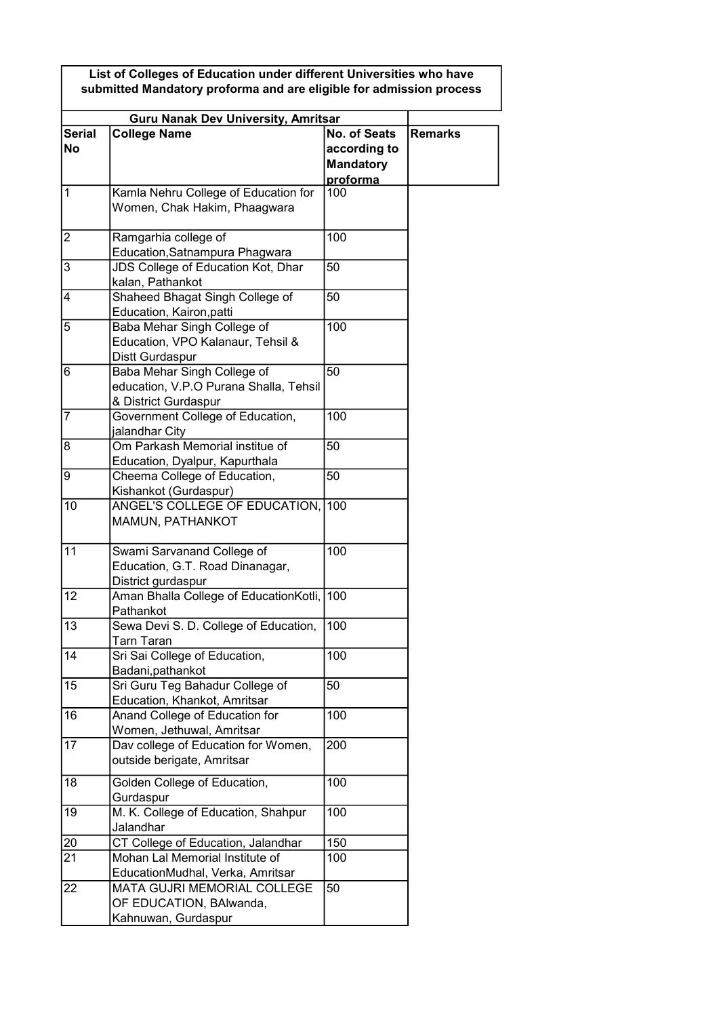List of Colleges of Education under different Universities who have submitted Mandatory proforma and are eligible for admission process

| <b>Guru Nanak Dev University, Amritsar</b> |                                                                                               |                                                                     |                |
|--------------------------------------------|-----------------------------------------------------------------------------------------------|---------------------------------------------------------------------|----------------|
| <b>Serial</b><br><b>No</b>                 | <b>College Name</b>                                                                           | <b>No. of Seats</b><br>according to<br><b>Mandatory</b><br>proforma | <b>Remarks</b> |
| 1                                          | Kamla Nehru College of Education for<br>Women, Chak Hakim, Phaagwara                          | 100                                                                 |                |
| $\overline{2}$                             | Ramgarhia college of<br>Education, Satnampura Phagwara                                        | 100                                                                 |                |
| $\overline{3}$                             | JDS College of Education Kot, Dhar<br>kalan, Pathankot                                        | 50                                                                  |                |
| 4                                          | Shaheed Bhagat Singh College of<br>Education, Kairon, patti                                   | 50                                                                  |                |
| 5                                          | Baba Mehar Singh College of<br>Education, VPO Kalanaur, Tehsil &<br>Distt Gurdaspur           | 100                                                                 |                |
| 6                                          | Baba Mehar Singh College of<br>education, V.P.O Purana Shalla, Tehsil<br>& District Gurdaspur | 50                                                                  |                |
| 7                                          | Government College of Education,<br>jalandhar City                                            | 100                                                                 |                |
| 8                                          | Om Parkash Memorial institue of<br>Education, Dyalpur, Kapurthala                             | 50                                                                  |                |
| 9                                          | Cheema College of Education,<br>Kishankot (Gurdaspur)                                         | 50                                                                  |                |
| 10                                         | ANGEL'S COLLEGE OF EDUCATION,<br>MAMUN, PATHANKOT                                             | 100                                                                 |                |
| 11                                         | Swami Sarvanand College of<br>Education, G.T. Road Dinanagar,<br>District gurdaspur           | 100                                                                 |                |
| 12                                         | Aman Bhalla College of EducationKotli,<br>Pathankot                                           | 100                                                                 |                |
| 13                                         | Sewa Devi S. D. College of Education,<br>Tarn Taran                                           | 100                                                                 |                |
| $\overline{14}$                            | Sri Sai College of Education,<br>Badani, pathankot                                            | $\overline{100}$                                                    |                |
| 15                                         | Sri Guru Teg Bahadur College of<br>Education, Khankot, Amritsar                               | 50                                                                  |                |
| 16                                         | Anand College of Education for<br>Women, Jethuwal, Amritsar                                   | 100                                                                 |                |
| 17                                         | Dav college of Education for Women,<br>outside berigate, Amritsar                             | 200                                                                 |                |
| 18                                         | Golden College of Education,<br>Gurdaspur                                                     | 100                                                                 |                |
| 19                                         | M. K. College of Education, Shahpur<br>Jalandhar                                              | 100                                                                 |                |
| 20                                         | CT College of Education, Jalandhar                                                            | 150                                                                 |                |
| $\overline{21}$                            | Mohan Lal Memorial Institute of<br>EducationMudhal, Verka, Amritsar                           | 100                                                                 |                |
| 22                                         | <b>MATA GUJRI MEMORIAL COLLEGE</b><br>OF EDUCATION, BAIwanda,<br>Kahnuwan, Gurdaspur          | 50                                                                  |                |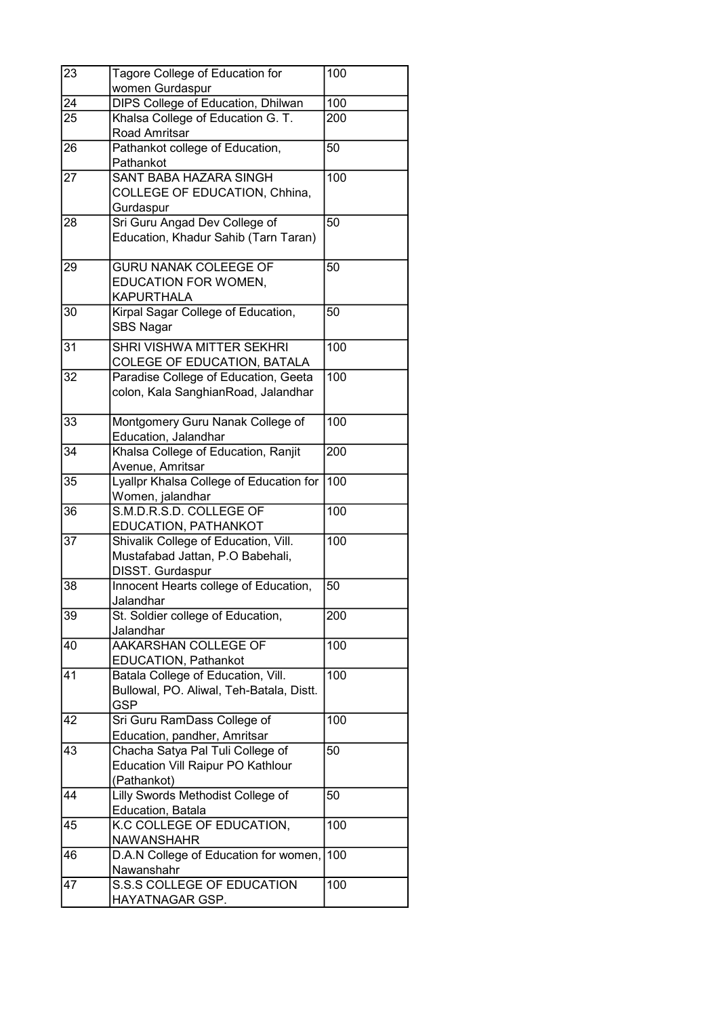| 23 | Tagore College of Education for                                                              | 100 |
|----|----------------------------------------------------------------------------------------------|-----|
|    | women Gurdaspur                                                                              |     |
| 24 | <b>DIPS College of Education, Dhilwan</b>                                                    | 100 |
| 25 | Khalsa College of Education G. T.<br>Road Amritsar                                           | 200 |
| 26 | Pathankot college of Education,<br>Pathankot                                                 | 50  |
| 27 | <b>SANT BABA HAZARA SINGH</b><br>COLLEGE OF EDUCATION, Chhina,<br>Gurdaspur                  | 100 |
| 28 | Sri Guru Angad Dev College of<br>Education, Khadur Sahib (Tarn Taran)                        | 50  |
| 29 | <b>GURU NANAK COLEEGE OF</b><br>EDUCATION FOR WOMEN,<br><b>KAPURTHALA</b>                    | 50  |
| 30 | Kirpal Sagar College of Education,<br><b>SBS Nagar</b>                                       | 50  |
| 31 | SHRI VISHWA MITTER SEKHRI<br>COLEGE OF EDUCATION, BATALA                                     | 100 |
| 32 | Paradise College of Education, Geeta<br>colon, Kala SanghianRoad, Jalandhar                  | 100 |
| 33 | Montgomery Guru Nanak College of<br>Education, Jalandhar                                     | 100 |
| 34 | Khalsa College of Education, Ranjit<br>Avenue, Amritsar                                      | 200 |
| 35 | Lyallpr Khalsa College of Education for<br>Women, jalandhar                                  | 100 |
| 36 | S.M.D.R.S.D. COLLEGE OF<br>EDUCATION, PATHANKOT                                              | 100 |
| 37 | Shivalik College of Education, Vill.<br>Mustafabad Jattan, P.O Babehali,<br>DISST. Gurdaspur | 100 |
| 38 | Innocent Hearts college of Education,<br>Jalandhar                                           | 50  |
| 39 | St. Soldier college of Education,<br>Jalandhar                                               | 200 |
| 40 | AAKARSHAN COLLEGE OF<br>EDUCATION, Pathankot                                                 | 100 |
| 41 | Batala College of Education, Vill.<br>Bullowal, PO. Aliwal, Teh-Batala, Distt.<br><b>GSP</b> | 100 |
| 42 | Sri Guru RamDass College of<br>Education, pandher, Amritsar                                  | 100 |
| 43 | Chacha Satya Pal Tuli College of<br>Education Vill Raipur PO Kathlour<br>(Pathankot)         | 50  |
| 44 | Lilly Swords Methodist College of<br>Education, Batala                                       | 50  |
| 45 | K.C COLLEGE OF EDUCATION,<br><b>NAWANSHAHR</b>                                               | 100 |
| 46 | D.A.N College of Education for women,<br>Nawanshahr                                          | 100 |
| 47 | S.S.S COLLEGE OF EDUCATION<br>HAYATNAGAR GSP.                                                | 100 |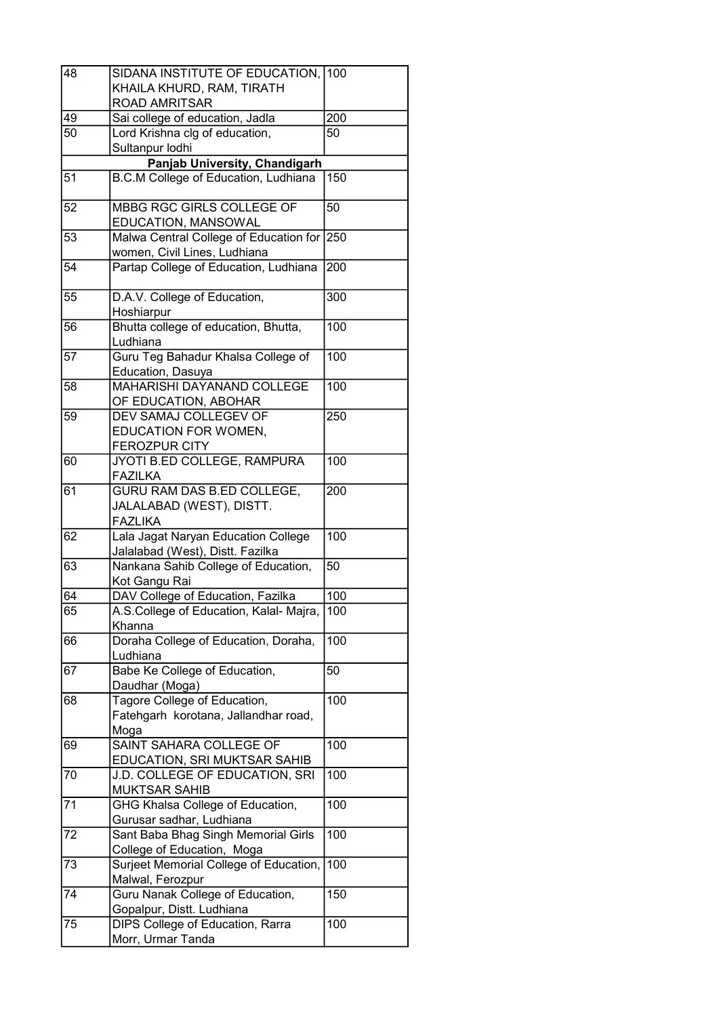| 48 | SIDANA INSTITUTE OF EDUCATION, 100      |     |
|----|-----------------------------------------|-----|
|    | KHAILA KHURD, RAM, TIRATH               |     |
|    | <b>ROAD AMRITSAR</b>                    |     |
| 49 | Sai college of education, Jadla         | 200 |
| 50 | Lord Krishna clg of education,          | 50  |
|    | Sultanpur lodhi                         |     |
|    | Panjab University, Chandigarh           |     |
| 51 | B.C.M College of Education, Ludhiana    | 150 |
|    |                                         |     |
| 52 | MBBG RGC GIRLS COLLEGE OF               | 50  |
|    | EDUCATION, MANSOWAL                     |     |
| 53 | Malwa Central College of Education for  | 250 |
|    | women, Civil Lines, Ludhiana            |     |
| 54 | Partap College of Education, Ludhiana   | 200 |
|    |                                         |     |
| 55 | D.A.V. College of Education,            | 300 |
|    | Hoshiarpur                              |     |
| 56 | Bhutta college of education, Bhutta,    | 100 |
|    | Ludhiana                                |     |
| 57 | Guru Teg Bahadur Khalsa College of      | 100 |
|    | Education, Dasuya                       |     |
| 58 | <b>MAHARISHI DAYANAND COLLEGE</b>       | 100 |
|    | OF EDUCATION, ABOHAR                    |     |
| 59 | DEV SAMAJ COLLEGEV OF                   |     |
|    |                                         | 250 |
|    | EDUCATION FOR WOMEN,                    |     |
|    | <b>FEROZPUR CITY</b>                    |     |
| 60 | JYOTI B.ED COLLEGE, RAMPURA             | 100 |
|    | <b>FAZILKA</b>                          |     |
| 61 | <b>GURU RAM DAS B.ED COLLEGE,</b>       | 200 |
|    | JALALABAD (WEST), DISTT.                |     |
|    | <b>FAZLIKA</b>                          |     |
| 62 | Lala Jagat Naryan Education College     | 100 |
|    | Jalalabad (West), Distt. Fazilka        |     |
| 63 | Nankana Sahib College of Education,     | 50  |
|    | Kot Gangu Rai                           |     |
| 64 | DAV College of Education, Fazilka       | 100 |
| 65 | A.S.College of Education, Kalal- Majra, | 100 |
|    | Khanna                                  |     |
| 66 | Doraha College of Education, Doraha,    | 100 |
|    | Ludhiana                                |     |
| 67 | Babe Ke College of Education,           | 50  |
|    | Daudhar (Moga)                          |     |
| 68 | Tagore College of Education,            | 100 |
|    | Fatehgarh korotana, Jallandhar road,    |     |
|    | Moga                                    |     |
| 69 | SAINT SAHARA COLLEGE OF                 | 100 |
|    | EDUCATION, SRI MUKTSAR SAHIB            |     |
| 70 | J.D. COLLEGE OF EDUCATION, SRI          | 100 |
|    | <b>MUKTSAR SAHIB</b>                    |     |
| 71 | <b>GHG Khalsa College of Education,</b> | 100 |
|    | Gurusar sadhar, Ludhiana                |     |
| 72 | Sant Baba Bhag Singh Memorial Girls     | 100 |
|    |                                         |     |
|    | College of Education, Moga              |     |
| 73 | Surjeet Memorial College of Education,  | 100 |
|    | Malwal, Ferozpur                        |     |
| 74 | Guru Nanak College of Education,        | 150 |
|    | Gopalpur, Distt. Ludhiana               |     |
| 75 | DIPS College of Education, Rarra        | 100 |
|    | Morr, Urmar Tanda                       |     |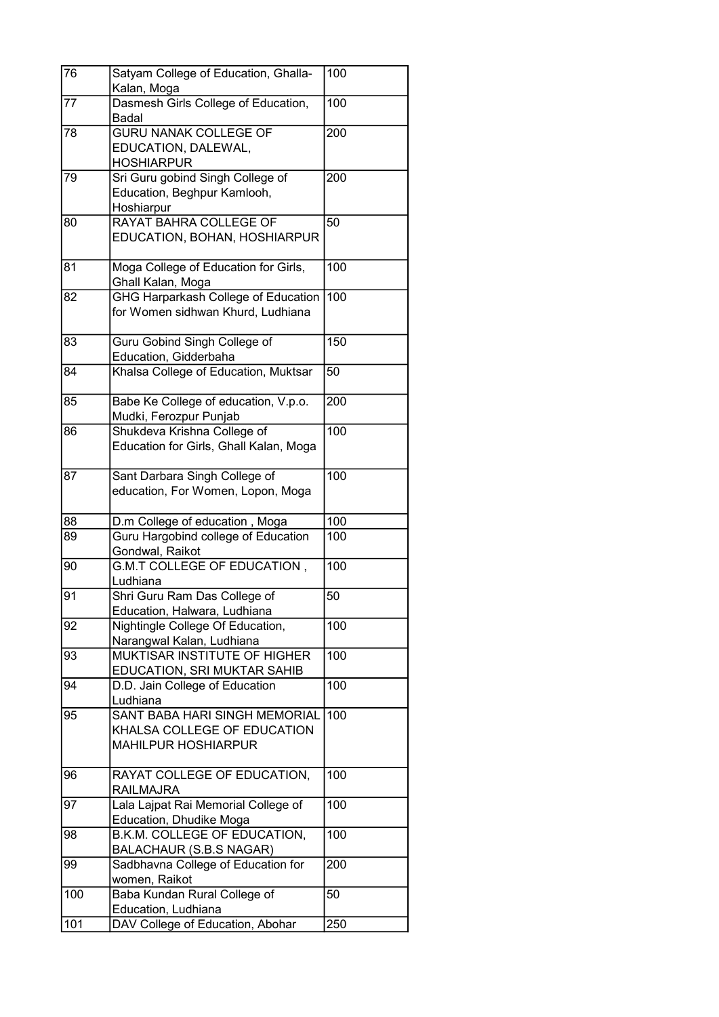| 76  | Satyam College of Education, Ghalla-<br>Kalan, Moga              | 100 |
|-----|------------------------------------------------------------------|-----|
| 77  | Dasmesh Girls College of Education,                              | 100 |
|     | <b>Badal</b>                                                     |     |
| 78  | <b>GURU NANAK COLLEGE OF</b>                                     | 200 |
|     | EDUCATION, DALEWAL,                                              |     |
|     | <b>HOSHIARPUR</b>                                                |     |
| 79  | Sri Guru gobind Singh College of                                 | 200 |
|     | Education, Beghpur Kamlooh,                                      |     |
|     | Hoshiarpur                                                       |     |
| 80  | RAYAT BAHRA COLLEGE OF                                           | 50  |
|     | EDUCATION, BOHAN, HOSHIARPUR                                     |     |
|     |                                                                  |     |
| 81  | Moga College of Education for Girls,                             | 100 |
|     | Ghall Kalan, Moga                                                |     |
| 82  | <b>GHG Harparkash College of Education</b>                       | 100 |
|     | for Women sidhwan Khurd, Ludhiana                                |     |
|     |                                                                  |     |
| 83  | Guru Gobind Singh College of                                     | 150 |
| 84  | Education, Gidderbaha<br>Khalsa College of Education, Muktsar    | 50  |
|     |                                                                  |     |
| 85  | Babe Ke College of education, V.p.o.                             | 200 |
|     | Mudki, Ferozpur Punjab                                           |     |
| 86  | Shukdeva Krishna College of                                      | 100 |
|     | Education for Girls, Ghall Kalan, Moga                           |     |
|     |                                                                  |     |
| 87  | Sant Darbara Singh College of                                    | 100 |
|     | education, For Women, Lopon, Moga                                |     |
|     |                                                                  |     |
| 88  | D.m College of education, Moga                                   | 100 |
| 89  | Guru Hargobind college of Education                              | 100 |
|     | Gondwal, Raikot                                                  |     |
| 90  | G.M.T COLLEGE OF EDUCATION,                                      | 100 |
| 91  | Ludhiana                                                         | 50  |
|     | Shri Guru Ram Das College of                                     |     |
| 92  | Education, Halwara, Ludhiana<br>Nightingle College Of Education, | 100 |
|     | Narangwal Kalan, Ludhiana                                        |     |
| 93  | MUKTISAR INSTITUTE OF HIGHER                                     | 100 |
|     | EDUCATION, SRI MUKTAR SAHIB                                      |     |
| 94  | D.D. Jain College of Education                                   | 100 |
|     | Ludhiana                                                         |     |
| 95  | SANT BABA HARI SINGH MEMORIAL                                    | 100 |
|     | KHALSA COLLEGE OF EDUCATION                                      |     |
|     | <b>MAHILPUR HOSHIARPUR</b>                                       |     |
|     |                                                                  |     |
| 96  | RAYAT COLLEGE OF EDUCATION,                                      | 100 |
|     | <b>RAILMAJRA</b>                                                 |     |
| 97  | Lala Lajpat Rai Memorial College of                              | 100 |
|     | Education, Dhudike Moga                                          |     |
| 98  | B.K.M. COLLEGE OF EDUCATION,                                     | 100 |
|     | BALACHAUR (S.B.S NAGAR)                                          |     |
| 99  | Sadbhavna College of Education for                               | 200 |
|     | women, Raikot                                                    |     |
| 100 | Baba Kundan Rural College of                                     | 50  |
| 101 | Education, Ludhiana<br>DAV College of Education, Abohar          | 250 |
|     |                                                                  |     |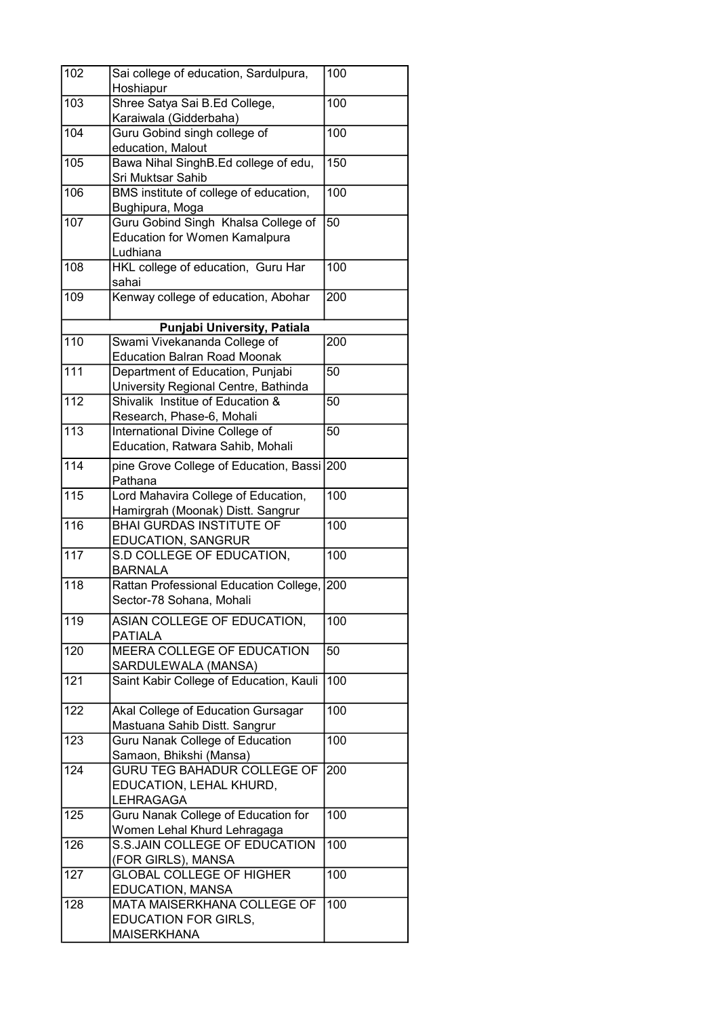| 102              | Sai college of education, Sardulpura,<br>Hoshiapur      | 100              |
|------------------|---------------------------------------------------------|------------------|
| 103              | Shree Satya Sai B.Ed College,                           | 100              |
|                  | Karaiwala (Gidderbaha)                                  |                  |
| 104              | Guru Gobind singh college of                            | 100              |
|                  | education, Malout                                       |                  |
| 105              | Bawa Nihal SinghB.Ed college of edu,                    | 150              |
|                  | Sri Muktsar Sahib                                       |                  |
| 106              | BMS institute of college of education,                  | 100              |
|                  | Bughipura, Moga                                         |                  |
| 107              | Guru Gobind Singh Khalsa College of                     | 50               |
|                  | <b>Education for Women Kamalpura</b>                    |                  |
|                  | Ludhiana                                                |                  |
| 108              | HKL college of education, Guru Har                      | 100              |
|                  | sahai                                                   |                  |
| 109              | Kenway college of education, Abohar                     | 200              |
|                  |                                                         |                  |
|                  | Punjabi University, Patiala                             |                  |
| 110              | Swami Vivekananda College of                            | 200              |
|                  | <b>Education Balran Road Moonak</b>                     |                  |
| 111              | Department of Education, Punjabi                        | 50               |
|                  | University Regional Centre, Bathinda                    |                  |
| 112              | Shivalik Institue of Education &                        | 50               |
|                  | Research, Phase-6, Mohali                               |                  |
| 113              | International Divine College of                         | 50               |
|                  | Education, Ratwara Sahib, Mohali                        |                  |
| 114              | pine Grove College of Education, Bassi 200              |                  |
|                  | Pathana                                                 |                  |
| 115              | Lord Mahavira College of Education,                     | 100              |
|                  | Hamirgrah (Moonak) Distt. Sangrur                       |                  |
| 116              | <b>BHAI GURDAS INSTITUTE OF</b>                         | 100              |
|                  | EDUCATION, SANGRUR                                      |                  |
| $\overline{117}$ | S.D COLLEGE OF EDUCATION,                               | 100              |
|                  | <b>BARNALA</b>                                          |                  |
| 118              | Rattan Professional Education College,                  | 200              |
|                  | Sector-78 Sohana, Mohali                                |                  |
| $\overline{119}$ | ASIAN COLLEGE OF EDUCATION,                             | 100              |
|                  | <b>PATIALA</b>                                          |                  |
| 120              | <b>MEERA COLLEGE OF EDUCATION</b>                       | 50               |
|                  | SARDULEWALA (MANSA)                                     |                  |
| 121              | Saint Kabir College of Education, Kauli                 | $\overline{100}$ |
|                  |                                                         |                  |
| 122              | Akal College of Education Gursagar                      | 100              |
|                  | Mastuana Sahib Distt. Sangrur                           |                  |
| 123              | <b>Guru Nanak College of Education</b>                  | 100              |
|                  | Samaon, Bhikshi (Mansa)                                 |                  |
| 124              | <b>GURU TEG BAHADUR COLLEGE OF</b>                      | 200              |
|                  | EDUCATION, LEHAL KHURD,                                 |                  |
| 125              | <b>LEHRAGAGA</b><br>Guru Nanak College of Education for | 100              |
|                  | Women Lehal Khurd Lehragaga                             |                  |
| 126              | S.S.JAIN COLLEGE OF EDUCATION                           | 100              |
|                  | (FOR GIRLS), MANSA                                      |                  |
| 127              | <b>GLOBAL COLLEGE OF HIGHER</b>                         | 100              |
|                  | EDUCATION, MANSA                                        |                  |
| 128              | MATA MAISERKHANA COLLEGE OF                             | 100              |
|                  | <b>EDUCATION FOR GIRLS,</b>                             |                  |
|                  | <b>MAISERKHANA</b>                                      |                  |
|                  |                                                         |                  |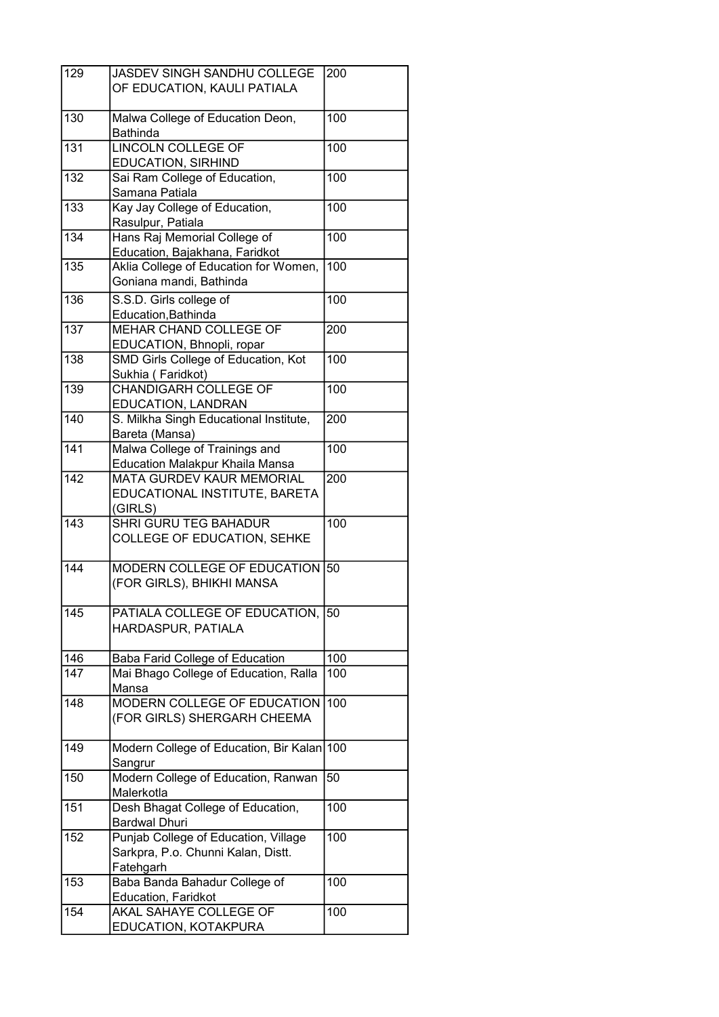| 129              | <b>JASDEV SINGH SANDHU COLLEGE</b>     | 200              |
|------------------|----------------------------------------|------------------|
|                  | OF EDUCATION, KAULI PATIALA            |                  |
|                  |                                        |                  |
| 130              | Malwa College of Education Deon,       | 100              |
|                  | <b>Bathinda</b>                        |                  |
| 131              | <b>LINCOLN COLLEGE OF</b>              | 100              |
|                  | <b>EDUCATION, SIRHIND</b>              |                  |
| 132              | Sai Ram College of Education,          | 100              |
|                  | Samana Patiala                         |                  |
| 133              | Kay Jay College of Education,          | 100              |
|                  | Rasulpur, Patiala                      |                  |
| 134              | Hans Raj Memorial College of           | 100              |
|                  | Education, Bajakhana, Faridkot         |                  |
| 135              | Aklia College of Education for Women,  | 100              |
|                  | Goniana mandi, Bathinda                |                  |
|                  |                                        |                  |
| 136              | S.S.D. Girls college of                | 100              |
|                  | Education, Bathinda                    |                  |
| $\overline{137}$ | MEHAR CHAND COLLEGE OF                 | 200              |
|                  | EDUCATION, Bhnopli, ropar              |                  |
| 138              | SMD Girls College of Education, Kot    | 100              |
|                  | Sukhia (Faridkot)                      |                  |
| 139              | <b>CHANDIGARH COLLEGE OF</b>           | 100              |
|                  | EDUCATION, LANDRAN                     |                  |
| 140              | S. Milkha Singh Educational Institute, | 200              |
|                  | Bareta (Mansa)                         |                  |
| $\overline{141}$ | Malwa College of Trainings and         | $\overline{1}00$ |
|                  | <b>Education Malakpur Khaila Mansa</b> |                  |
| 142              | <b>MATA GURDEV KAUR MEMORIAL</b>       | 200              |
|                  | EDUCATIONAL INSTITUTE, BARETA          |                  |
|                  | (GIRLS)                                |                  |
| $\overline{143}$ | <b>SHRI GURU TEG BAHADUR</b>           | 100              |
|                  | COLLEGE OF EDUCATION, SEHKE            |                  |
|                  |                                        |                  |
| 144              | MODERN COLLEGE OF EDUCATION            | 50               |
|                  | (FOR GIRLS), BHIKHI MANSA              |                  |
|                  |                                        |                  |
| 145              | PATIALA COLLEGE OF EDUCATION,          | 50               |
|                  | HARDASPUR, PATIALA                     |                  |
|                  |                                        |                  |
| 146              | Baba Farid College of Education        | 100              |
| 147              | Mai Bhago College of Education, Ralla  | 100              |
|                  | Mansa                                  |                  |
| 148              | MODERN COLLEGE OF EDUCATION            | 100              |
|                  | (FOR GIRLS) SHERGARH CHEEMA            |                  |
|                  |                                        |                  |
| 149              | Modern College of Education, Bir Kalan | 100              |
|                  | Sangrur                                |                  |
| 150              | Modern College of Education, Ranwan    | 50               |
|                  | Malerkotla                             |                  |
| 151              | Desh Bhagat College of Education,      | 100              |
|                  | <b>Bardwal Dhuri</b>                   |                  |
| 152              | Punjab College of Education, Village   | 100              |
|                  | Sarkpra, P.o. Chunni Kalan, Distt.     |                  |
|                  | Fatehgarh                              |                  |
| 153              | Baba Banda Bahadur College of          | 100              |
|                  | Education, Faridkot                    |                  |
| 154              | AKAL SAHAYE COLLEGE OF                 | 100              |
|                  | EDUCATION, KOTAKPURA                   |                  |
|                  |                                        |                  |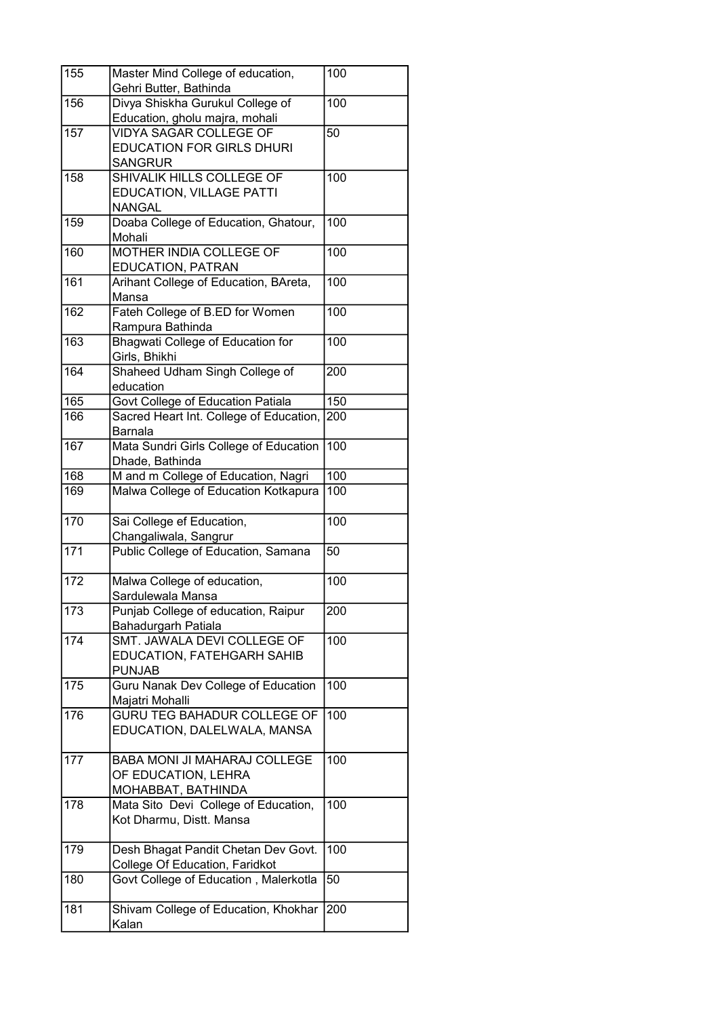| 155 | Master Mind College of education,<br>Gehri Butter, Bathinda       | 100              |
|-----|-------------------------------------------------------------------|------------------|
| 156 | Divya Shiskha Gurukul College of                                  | 100              |
|     | Education, gholu majra, mohali                                    |                  |
| 157 | <b>VIDYA SAGAR COLLEGE OF</b>                                     | 50               |
|     | <b>EDUCATION FOR GIRLS DHURI</b>                                  |                  |
|     | <b>SANGRUR</b>                                                    |                  |
| 158 | SHIVALIK HILLS COLLEGE OF                                         | 100              |
|     | EDUCATION, VILLAGE PATTI                                          |                  |
|     | <b>NANGAL</b>                                                     |                  |
| 159 | Doaba College of Education, Ghatour,                              | 100              |
|     | Mohali                                                            |                  |
| 160 | MOTHER INDIA COLLEGE OF                                           | 100              |
|     | EDUCATION, PATRAN                                                 |                  |
| 161 | Arihant College of Education, BAreta,                             | 100              |
|     | Mansa                                                             |                  |
| 162 | Fateh College of B.ED for Women                                   | 100              |
|     | Rampura Bathinda                                                  |                  |
| 163 | <b>Bhagwati College of Education for</b><br>Girls, Bhikhi         | 100              |
| 164 | Shaheed Udham Singh College of                                    | 200              |
|     | education                                                         |                  |
| 165 | Govt College of Education Patiala                                 | 150              |
| 166 | Sacred Heart Int. College of Education,                           | 200              |
|     | <b>Barnala</b>                                                    |                  |
| 167 | Mata Sundri Girls College of Education                            | 100              |
|     | Dhade, Bathinda                                                   |                  |
| 168 | M and m College of Education, Nagri                               | 100              |
| 169 | Malwa College of Education Kotkapura                              | 100              |
| 170 | Sai College ef Education,                                         | 100              |
|     | Changaliwala, Sangrur                                             |                  |
| 171 | Public College of Education, Samana                               | 50               |
| 172 | Malwa College of education,                                       | $\overline{1}00$ |
|     | Sardulewala Mansa                                                 |                  |
| 173 | Punjab College of education, Raipur                               | 200              |
|     | Bahadurgarh Patiala                                               |                  |
| 174 | SMT. JAWALA DEVI COLLEGE OF                                       | 100              |
|     | EDUCATION, FATEHGARH SAHIB                                        |                  |
|     | <b>PUNJAB</b>                                                     |                  |
| 175 | <b>Guru Nanak Dev College of Education</b>                        | 100              |
| 176 | Majatri Mohalli                                                   |                  |
|     | <b>GURU TEG BAHADUR COLLEGE OF</b><br>EDUCATION, DALELWALA, MANSA | 100              |
|     |                                                                   |                  |
| 177 | BABA MONI JI MAHARAJ COLLEGE                                      | 100              |
|     | OF EDUCATION, LEHRA                                               |                  |
|     | MOHABBAT, BATHINDA                                                |                  |
| 178 | Mata Sito Devi College of Education,                              | 100              |
|     | Kot Dharmu, Distt. Mansa                                          |                  |
| 179 | Desh Bhagat Pandit Chetan Dev Govt.                               | 100              |
|     | College Of Education, Faridkot                                    |                  |
| 180 | Govt College of Education, Malerkotla                             | 50               |
| 181 | Shivam College of Education, Khokhar                              | 200              |
|     | Kalan                                                             |                  |